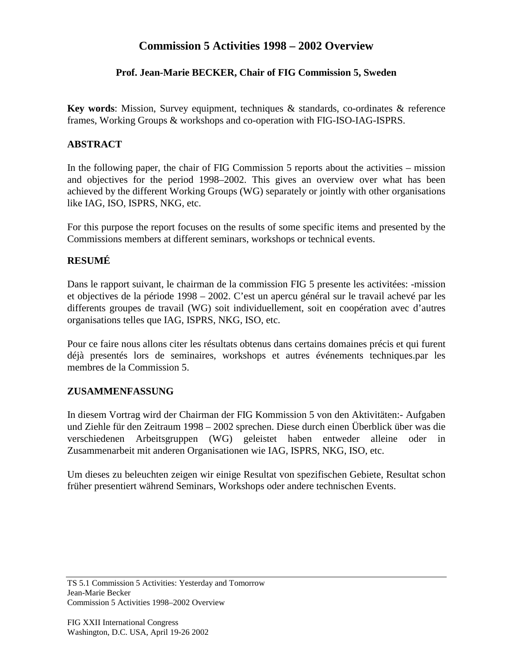# **Commission 5 Activities 1998 – 2002 Overview**

## **Prof. Jean-Marie BECKER, Chair of FIG Commission 5, Sweden**

**Key words**: Mission, Survey equipment, techniques & standards, co-ordinates & reference frames, Working Groups & workshops and co-operation with FIG-ISO-IAG-ISPRS.

#### **ABSTRACT**

In the following paper, the chair of FIG Commission 5 reports about the activities – mission and objectives for the period 1998–2002. This gives an overview over what has been achieved by the different Working Groups (WG) separately or jointly with other organisations like IAG, ISO, ISPRS, NKG, etc.

For this purpose the report focuses on the results of some specific items and presented by the Commissions members at different seminars, workshops or technical events.

## **RESUMÉ**

Dans le rapport suivant, le chairman de la commission FIG 5 presente les activitées: -mission et objectives de la période 1998 – 2002. C'est un apercu général sur le travail achevé par les differents groupes de travail (WG) soit individuellement, soit en coopération avec d'autres organisations telles que IAG, ISPRS, NKG, ISO, etc.

Pour ce faire nous allons citer les résultats obtenus dans certains domaines précis et qui furent déjà presentés lors de seminaires, workshops et autres événements techniques.par les membres de la Commission 5.

#### **ZUSAMMENFASSUNG**

In diesem Vortrag wird der Chairman der FIG Kommission 5 von den Aktivitäten:- Aufgaben und Ziehle für den Zeitraum 1998 – 2002 sprechen. Diese durch einen Überblick über was die verschiedenen Arbeitsgruppen (WG) geleistet haben entweder alleine oder in Zusammenarbeit mit anderen Organisationen wie IAG, ISPRS, NKG, ISO, etc.

Um dieses zu beleuchten zeigen wir einige Resultat von spezifischen Gebiete, Resultat schon früher presentiert während Seminars, Workshops oder andere technischen Events.